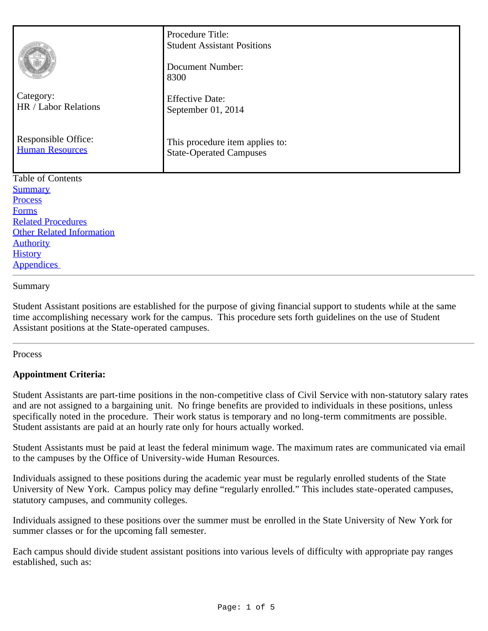| Category:<br>HR / Labor Relations<br>Responsible Office:<br><b>Human Resources</b> | Procedure Title:<br><b>Student Assistant Positions</b><br>Document Number:<br>8300<br><b>Effective Date:</b><br>September 01, 2014<br>This procedure item applies to:<br><b>State-Operated Campuses</b> |
|------------------------------------------------------------------------------------|---------------------------------------------------------------------------------------------------------------------------------------------------------------------------------------------------------|
| <b>Table of Contents</b>                                                           |                                                                                                                                                                                                         |
| <b>Summary</b>                                                                     |                                                                                                                                                                                                         |
| Process                                                                            |                                                                                                                                                                                                         |
| <b>Forms</b>                                                                       |                                                                                                                                                                                                         |
| <b>Related Procedures</b>                                                          |                                                                                                                                                                                                         |
| <b>Other Related Information</b>                                                   |                                                                                                                                                                                                         |
| <b>Authority</b>                                                                   |                                                                                                                                                                                                         |
| <b>History</b>                                                                     |                                                                                                                                                                                                         |

# **Appendices**

#### <span id="page-0-0"></span>Summary

Student Assistant positions are established for the purpose of giving financial support to students while at the same time accomplishing necessary work for the campus. This procedure sets forth guidelines on the use of Student Assistant positions at the State-operated campuses.

#### <span id="page-0-1"></span>**Process**

# **Appointment Criteria:**

Student Assistants are part-time positions in the non-competitive class of Civil Service with non-statutory salary rates and are not assigned to a bargaining unit. No fringe benefits are provided to individuals in these positions, unless specifically noted in the procedure. Their work status is temporary and no long-term commitments are possible. Student assistants are paid at an hourly rate only for hours actually worked.

Student Assistants must be paid at least the federal minimum wage. The maximum rates are communicated via email to the campuses by the Office of University-wide Human Resources.

Individuals assigned to these positions during the academic year must be regularly enrolled students of the State University of New York. Campus policy may define "regularly enrolled." This includes state-operated campuses, statutory campuses, and community colleges.

Individuals assigned to these positions over the summer must be enrolled in the State University of New York for summer classes or for the upcoming fall semester.

Each campus should divide student assistant positions into various levels of difficulty with appropriate pay ranges established, such as: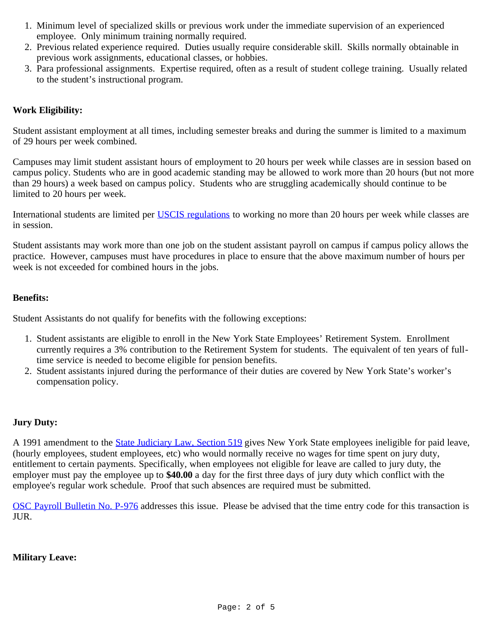- 1. Minimum level of specialized skills or previous work under the immediate supervision of an experienced employee. Only minimum training normally required.
- 2. Previous related experience required. Duties usually require considerable skill. Skills normally obtainable in previous work assignments, educational classes, or hobbies.
- 3. Para professional assignments. Expertise required, often as a result of student college training. Usually related to the student's instructional program.

# **Work Eligibility:**

Student assistant employment at all times, including semester breaks and during the summer is limited to a maximum of 29 hours per week combined.

Campuses may limit student assistant hours of employment to 20 hours per week while classes are in session based on campus policy. Students who are in good academic standing may be allowed to work more than 20 hours (but not more than 29 hours) a week based on campus policy. Students who are struggling academically should continue to be limited to 20 hours per week.

International students are limited per [USCIS regulations](http://www.uscis.gov/i-9-central/complete-correct-form-i-9/complete-section-1-employee-information-and-verification/foreign-students) to working no more than 20 hours per week while classes are in session.

Student assistants may work more than one job on the student assistant payroll on campus if campus policy allows the practice. However, campuses must have procedures in place to ensure that the above maximum number of hours per week is not exceeded for combined hours in the jobs.

# **Benefits:**

Student Assistants do not qualify for benefits with the following exceptions:

- 1. Student assistants are eligible to enroll in the New York State Employees' Retirement System. Enrollment currently requires a 3% contribution to the Retirement System for students. The equivalent of ten years of fulltime service is needed to become eligible for pension benefits.
- 2. Student assistants injured during the performance of their duties are covered by New York State's worker's compensation policy.

# **Jury Duty:**

A 1991 amendment to the **[State Judiciary Law, Section 519](http://codes.lp.findlaw.com/nycode/JUD/16/519)** gives New York State employees ineligible for paid leave, (hourly employees, student employees, etc) who would normally receive no wages for time spent on jury duty, entitlement to certain payments. Specifically, when employees not eligible for leave are called to jury duty, the employer must pay the employee up to **\$40.00** a day for the first three days of jury duty which conflict with the employee's regular work schedule. Proof that such absences are required must be submitted.

[OSC Payroll Bulletin No. P-976](http://www.osc.state.ny.us/agencies/pbull/agencies/1984_1998/p976.pdf) addresses this issue. Please be advised that the time entry code for this transaction is JUR.

# **Military Leave:**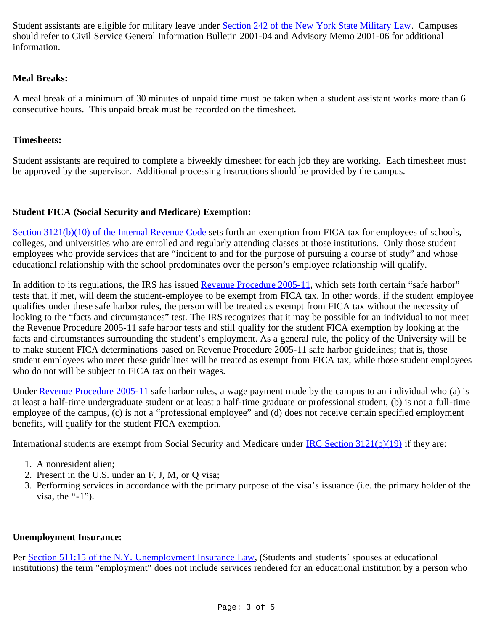Student assistants are eligible for military leave under [Section 242 of the New York State Military Law](http://codes.lp.findlaw.com/nycode/MIL/11/242#sthash.4wdTPRcf.dpuf). Campuses should refer to Civil Service General Information Bulletin 2001-04 and Advisory Memo 2001-06 for additional information.

# **Meal Breaks:**

A meal break of a minimum of 30 minutes of unpaid time must be taken when a student assistant works more than 6 consecutive hours. This unpaid break must be recorded on the timesheet.

## **Timesheets:**

Student assistants are required to complete a biweekly timesheet for each job they are working. Each timesheet must be approved by the supervisor. Additional processing instructions should be provided by the campus.

# **Student FICA (Social Security and Medicare) Exemption:**

[Section 3121\(b\)\(10\) of the Internal Revenue Code](http://www.law.cornell.edu/uscode/text/26/3121) sets forth an exemption from FICA tax for employees of schools, colleges, and universities who are enrolled and regularly attending classes at those institutions. Only those student employees who provide services that are "incident to and for the purpose of pursuing a course of study" and whose educational relationship with the school predominates over the person's employee relationship will qualify.

In addition to its regulations, the IRS has issued [Revenue Procedure 2005-11](http://www.irs.gov/irb/2005-02_IRB/ar16.html), which sets forth certain "safe harbor" tests that, if met, will deem the student-employee to be exempt from FICA tax. In other words, if the student employee qualifies under these safe harbor rules, the person will be treated as exempt from FICA tax without the necessity of looking to the "facts and circumstances" test. The IRS recognizes that it may be possible for an individual to not meet the Revenue Procedure 2005-11 safe harbor tests and still qualify for the student FICA exemption by looking at the facts and circumstances surrounding the student's employment. As a general rule, the policy of the University will be to make student FICA determinations based on Revenue Procedure 2005-11 safe harbor guidelines; that is, those student employees who meet these guidelines will be treated as exempt from FICA tax, while those student employees who do not will be subject to FICA tax on their wages.

Under [Revenue Procedure 2005-11](http://www.irs.gov/irb/2005-02_IRB/ar16.html) safe harbor rules, a wage payment made by the campus to an individual who (a) is at least a half-time undergraduate student or at least a half-time graduate or professional student, (b) is not a full-time employee of the campus, (c) is not a "professional employee" and (d) does not receive certain specified employment benefits, will qualify for the student FICA exemption.

International students are exempt from Social Security and Medicare under **IRC Section 3121(b)(19)** if they are:

- 1. A nonresident alien;
- 2. Present in the U.S. under an F, J, M, or Q visa;
- 3. Performing services in accordance with the primary purpose of the visa's issuance (i.e. the primary holder of the visa, the "-1").

#### **Unemployment Insurance:**

Per [Section 511:15 of the N.Y. Unemployment Insurance Law,](http://codes.lp.findlaw.com/nycode/LAB/18/2/511#sthash.cF7NNQFR.dpuf) (Students and students` spouses at educational institutions) the term "employment" does not include services rendered for an educational institution by a person who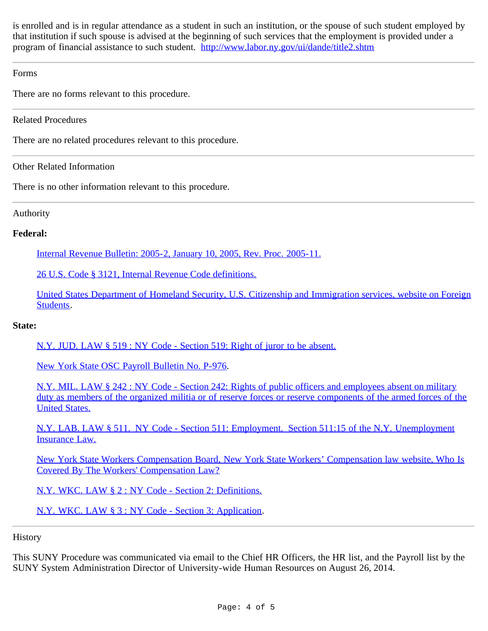is enrolled and is in regular attendance as a student in such an institution, or the spouse of such student employed by that institution if such spouse is advised at the beginning of such services that the employment is provided under a program of financial assistance to such student. <http://www.labor.ny.gov/ui/dande/title2.shtm>

## <span id="page-3-0"></span>Forms

There are no forms relevant to this procedure.

<span id="page-3-1"></span>Related Procedures

There are no related procedures relevant to this procedure.

<span id="page-3-2"></span>Other Related Information

There is no other information relevant to this procedure.

## <span id="page-3-3"></span>Authority

## **Federal:**

[Internal Revenue Bulletin: 2005-2, January 10, 2005, Rev. Proc. 2005-11.](http://www.irs.gov/irb/2005-02_IRB/ar16.html)

[26 U.S. Code § 3121, Internal Revenue Code definitions.](http://www.law.cornell.edu/uscode/text/26/3121)

[United States Department of Homeland Security, U.S. Citizenship and Immigration services, website on Foreign](http://www.uscis.gov/i-9-central/complete-correct-form-i-9/complete-section-1-employee-information-and-verification/foreign-students) [Students](http://www.uscis.gov/i-9-central/complete-correct-form-i-9/complete-section-1-employee-information-and-verification/foreign-students).

#### **State:**

[N.Y. JUD. LAW § 519 : NY Code - Section 519: Right of juror to be absent.](http://codes.lp.findlaw.com/nycode/JUD/16/519#sthash.4B48RV9y.dpuf)

[New York State OSC Payroll Bulletin No. P-976.](http://www.osc.state.ny.us/agencies/pbull/agencies/1984_1998/p976.pdf)

[N.Y. MIL. LAW § 242 : NY Code - Section 242: Rights of public officers and employees absent on military](http://codes.lp.findlaw.com/nycode/MIL/11/242#sthash.4wdTPRcf.dpuf) [duty as members of the organized militia or of reserve forces or reserve components of the armed forces of the](http://codes.lp.findlaw.com/nycode/MIL/11/242#sthash.4wdTPRcf.dpuf) [United States.](http://codes.lp.findlaw.com/nycode/MIL/11/242#sthash.4wdTPRcf.dpuf)

[N.Y. LAB. LAW § 511. NY Code - Section 511: Employment. Section 511:15 of the N.Y. Unemployment](http://codes.lp.findlaw.com/nycode/LAB/18/2/511#sthash.cF7NNQFR.dpuf) [Insurance Law.](http://codes.lp.findlaw.com/nycode/LAB/18/2/511#sthash.cF7NNQFR.dpuf)

[New York State Workers Compensation Board, New York State Workers' Compensation law website, Who Is](http://www.wcb.ny.gov/content/main/Workers/Coverage_wc/workerWhoCovered.jsp) [Covered By The Workers' Compensation Law?](http://www.wcb.ny.gov/content/main/Workers/Coverage_wc/workerWhoCovered.jsp)

[N.Y. WKC. LAW § 2 : NY Code - Section 2: Definitions.](http://codes.lp.findlaw.com/nycode/WKC/1/2)

[N.Y. WKC. LAW § 3 : NY Code - Section 3: Application.](http://codes.lp.findlaw.com/nycode/WKC/1/3#sthash.hMdS9xYF.dpuf)

<span id="page-3-4"></span>**History** 

This SUNY Procedure was communicated via email to the Chief HR Officers, the HR list, and the Payroll list by the SUNY System Administration Director of University-wide Human Resources on August 26, 2014.